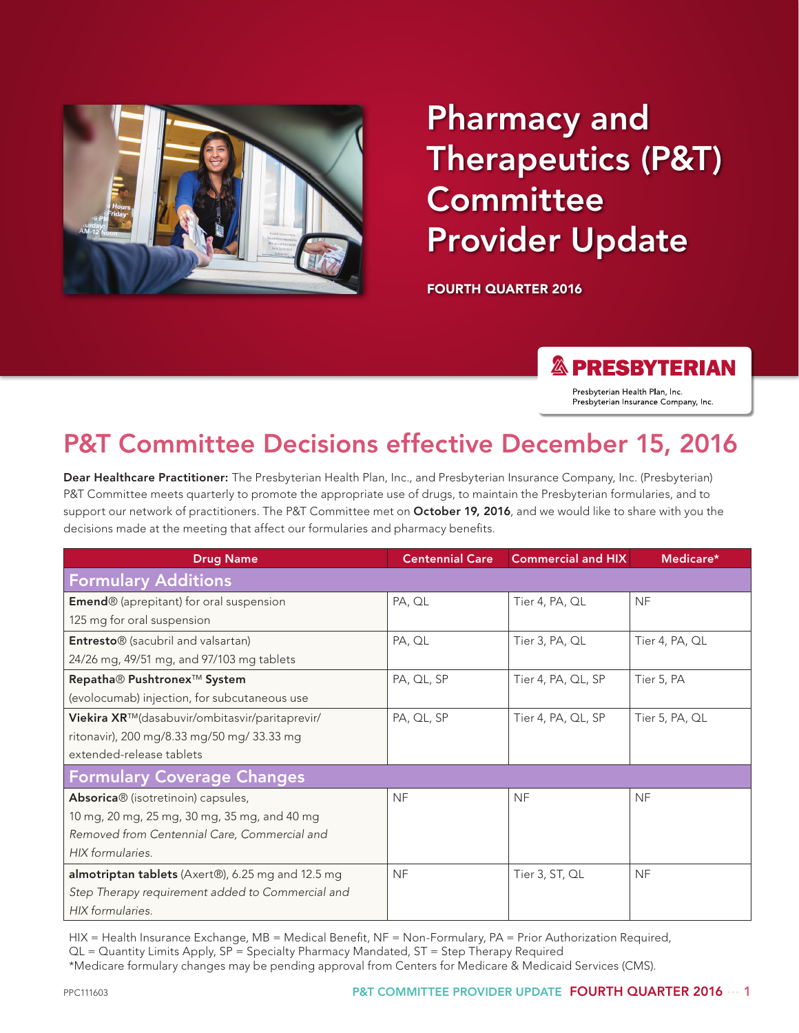

# Pharmacy and Therapeutics (P&T) **Committee** Provider Update

FOURTH QUARTER 2016

#### **& PRESBYTERIAN**

Presbyterian Health Plan, Inc. Presbyterian Insurance Company, Inc.

# P&T Committee Decisions effective December 15, 2016

Dear Healthcare Practitioner: The Presbyterian Health Plan, Inc., and Presbyterian Insurance Company, Inc. (Presbyterian) P&T Committee meets quarterly to promote the appropriate use of drugs, to maintain the Presbyterian formularies, and to support our network of practitioners. The P&T Committee met on October 19, 2016, and we would like to share with you the decisions made at the meeting that affect our formularies and pharmacy benefits.

| <b>Drug Name</b>                                           | <b>Centennial Care</b> | <b>Commercial and HIX</b> | Medicare*      |
|------------------------------------------------------------|------------------------|---------------------------|----------------|
| <b>Formulary Additions</b>                                 |                        |                           |                |
| <b>Emend</b> <sup>®</sup> (aprepitant) for oral suspension | PA, QL                 | Tier 4, PA, QL            | <b>NF</b>      |
| 125 mg for oral suspension                                 |                        |                           |                |
| Entresto® (sacubril and valsartan)                         | PA, QL                 | Tier 3, PA, QL            | Tier 4, PA, QL |
| 24/26 mg, 49/51 mg, and 97/103 mg tablets                  |                        |                           |                |
| Repatha® Pushtronex <sup>™</sup> System                    | PA, QL, SP             | Tier 4, PA, QL, SP        | Tier 5, PA     |
| (evolocumab) injection, for subcutaneous use               |                        |                           |                |
| Viekira XR™(dasabuvir/ombitasvir/paritaprevir/             | PA, QL, SP             | Tier 4, PA, QL, SP        | Tier 5, PA, QL |
| ritonavir), 200 mg/8.33 mg/50 mg/ 33.33 mg                 |                        |                           |                |
| extended-release tablets                                   |                        |                           |                |
| <b>Formulary Coverage Changes</b>                          |                        |                           |                |
| Absorica® (isotretinoin) capsules,                         | <b>NF</b>              | <b>NF</b>                 | <b>NF</b>      |
| 10 mg, 20 mg, 25 mg, 30 mg, 35 mg, and 40 mg               |                        |                           |                |
| Removed from Centennial Care, Commercial and               |                        |                           |                |
| HIX formularies.                                           |                        |                           |                |
| almotriptan tablets (Axert®), 6.25 mg and 12.5 mg          | <b>NF</b>              | Tier 3, ST, QL            | <b>NF</b>      |
| Step Therapy requirement added to Commercial and           |                        |                           |                |
| HIX formularies.                                           |                        |                           |                |

HIX = Health Insurance Exchange, MB = Medical Benefit, NF = Non-Formulary, PA = Prior Authorization Required, QL = Quantity Limits Apply, SP = Specialty Pharmacy Mandated, ST = Step Therapy Required \*Medicare formulary changes may be pending approval from Centers for Medicare & Medicaid Services (CMS).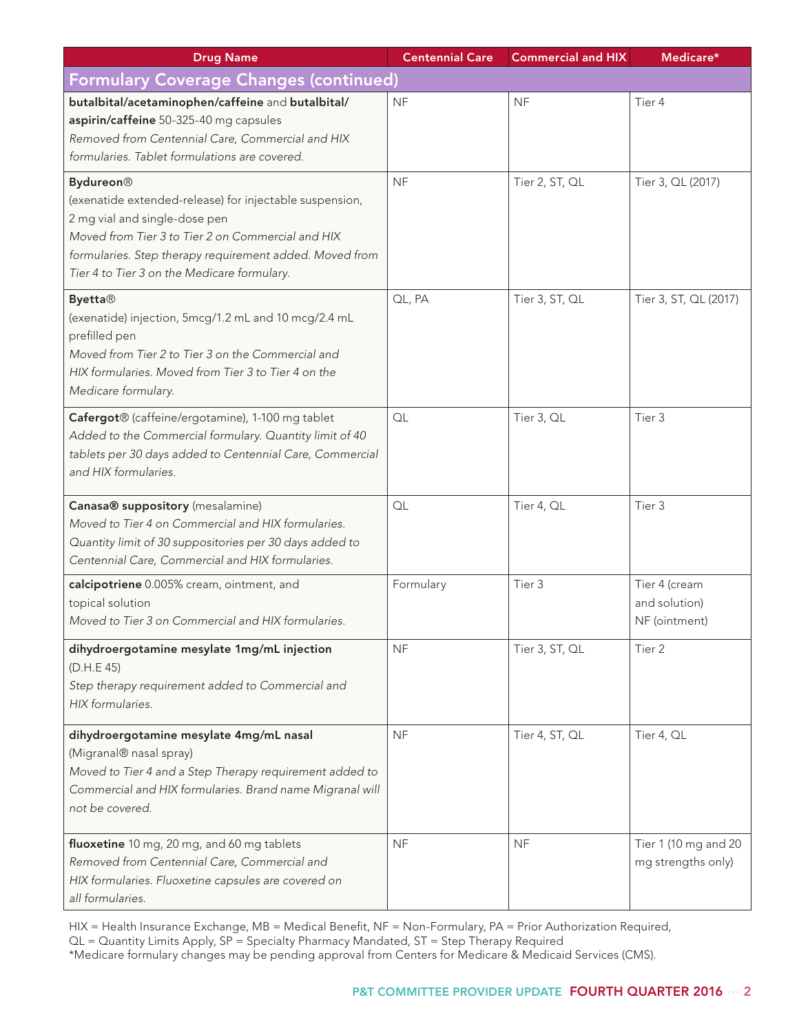| <b>Drug Name</b>                                                                                                                                                                                                                                                             | <b>Centennial Care</b> | <b>Commercial and HIX</b> | Medicare*                                       |
|------------------------------------------------------------------------------------------------------------------------------------------------------------------------------------------------------------------------------------------------------------------------------|------------------------|---------------------------|-------------------------------------------------|
| <b>Formulary Coverage Changes (continued)</b>                                                                                                                                                                                                                                |                        |                           |                                                 |
| butalbital/acetaminophen/caffeine and butalbital/<br>aspirin/caffeine 50-325-40 mg capsules<br>Removed from Centennial Care, Commercial and HIX<br>formularies. Tablet formulations are covered.                                                                             | <b>NF</b>              | <b>NF</b>                 | Tier 4                                          |
| <b>Bydureon</b> ®<br>(exenatide extended-release) for injectable suspension,<br>2 mg vial and single-dose pen<br>Moved from Tier 3 to Tier 2 on Commercial and HIX<br>formularies. Step therapy requirement added. Moved from<br>Tier 4 to Tier 3 on the Medicare formulary. | <b>NF</b>              | Tier 2, ST, QL            | Tier 3, QL (2017)                               |
| <b>Byetta®</b><br>(exenatide) injection, 5mcg/1.2 mL and 10 mcg/2.4 mL<br>prefilled pen<br>Moved from Tier 2 to Tier 3 on the Commercial and<br>HIX formularies. Moved from Tier 3 to Tier 4 on the<br>Medicare formulary.                                                   | QL, PA                 | Tier 3, ST, QL            | Tier 3, ST, QL (2017)                           |
| Cafergot® (caffeine/ergotamine), 1-100 mg tablet<br>Added to the Commercial formulary. Quantity limit of 40<br>tablets per 30 days added to Centennial Care, Commercial<br>and HIX formularies.                                                                              | QL                     | Tier 3, QL                | Tier 3                                          |
| Canasa® suppository (mesalamine)<br>Moved to Tier 4 on Commercial and HIX formularies.<br>Quantity limit of 30 suppositories per 30 days added to<br>Centennial Care, Commercial and HIX formularies.                                                                        | QL                     | Tier 4, QL                | Tier 3                                          |
| calcipotriene 0.005% cream, ointment, and<br>topical solution<br>Moved to Tier 3 on Commercial and HIX formularies.                                                                                                                                                          | Formulary              | Tier 3                    | Tier 4 (cream<br>and solution)<br>NF (ointment) |
| dihydroergotamine mesylate 1mg/mL injection<br>(D.H.E 45)<br>Step therapy requirement added to Commercial and<br>HIX formularies.                                                                                                                                            | <b>NF</b>              | Tier 3, ST, QL            | Tier <sub>2</sub>                               |
| dihydroergotamine mesylate 4mg/mL nasal<br>(Migranal® nasal spray)<br>Moved to Tier 4 and a Step Therapy requirement added to<br>Commercial and HIX formularies. Brand name Migranal will<br>not be covered.                                                                 | <b>NF</b>              | Tier 4, ST, QL            | Tier 4, QL                                      |
| fluoxetine 10 mg, 20 mg, and 60 mg tablets<br>Removed from Centennial Care, Commercial and<br>HIX formularies. Fluoxetine capsules are covered on<br>all formularies.                                                                                                        | <b>NF</b>              | <b>NF</b>                 | Tier 1 (10 mg and 20<br>mg strengths only)      |

HIX = Health Insurance Exchange, MB = Medical Benefit, NF = Non-Formulary, PA = Prior Authorization Required,

QL = Quantity Limits Apply, SP = Specialty Pharmacy Mandated, ST = Step Therapy Required

\*Medicare formulary changes may be pending approval from Centers for Medicare & Medicaid Services (CMS).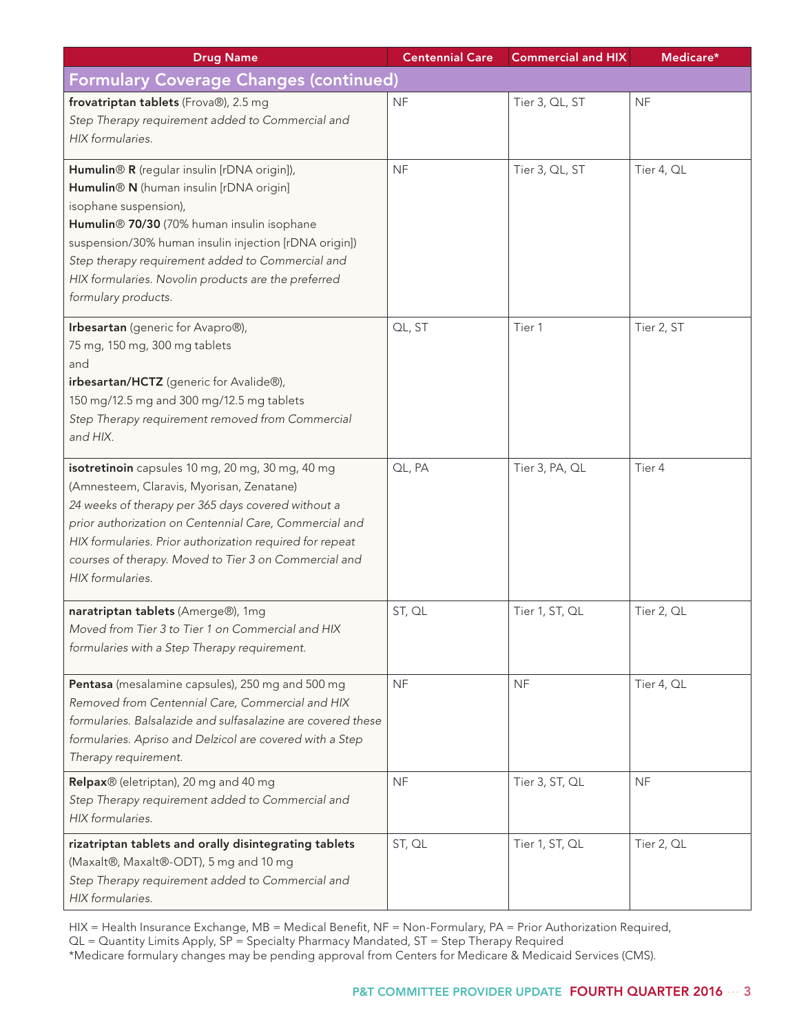| <b>Drug Name</b>                                                                                                                                                                                                                                                                                                                                         | <b>Centennial Care</b> | <b>Commercial and HIX</b> | Medicare*  |  |  |
|----------------------------------------------------------------------------------------------------------------------------------------------------------------------------------------------------------------------------------------------------------------------------------------------------------------------------------------------------------|------------------------|---------------------------|------------|--|--|
| <b>Formulary Coverage Changes (continued)</b>                                                                                                                                                                                                                                                                                                            |                        |                           |            |  |  |
| frovatriptan tablets (Frova®), 2.5 mg<br>Step Therapy requirement added to Commercial and<br>HIX formularies.                                                                                                                                                                                                                                            | <b>NF</b>              | Tier 3, QL, ST            | <b>NF</b>  |  |  |
| Humulin® R (regular insulin [rDNA origin]),<br>Humulin® N (human insulin [rDNA origin]<br>isophane suspension),<br>Humulin® 70/30 (70% human insulin isophane<br>suspension/30% human insulin injection [rDNA origin])<br>Step therapy requirement added to Commercial and<br>HIX formularies. Novolin products are the preferred<br>formulary products. | <b>NF</b>              | Tier 3, QL, ST            | Tier 4, QL |  |  |
| Irbesartan (generic for Avapro®),<br>75 mg, 150 mg, 300 mg tablets<br>and<br>irbesartan/HCTZ (generic for Avalide®),<br>150 mg/12.5 mg and 300 mg/12.5 mg tablets<br>Step Therapy requirement removed from Commercial<br>and HIX.                                                                                                                        | QL, ST                 | Tier 1                    | Tier 2, ST |  |  |
| isotretinoin capsules 10 mg, 20 mg, 30 mg, 40 mg<br>(Amnesteem, Claravis, Myorisan, Zenatane)<br>24 weeks of therapy per 365 days covered without a<br>prior authorization on Centennial Care, Commercial and<br>HIX formularies. Prior authorization required for repeat<br>courses of therapy. Moved to Tier 3 on Commercial and<br>HIX formularies.   | QL, PA                 | Tier 3, PA, QL            | Tier 4     |  |  |
| naratriptan tablets (Amerge®), 1mg<br>Moved from Tier 3 to Tier 1 on Commercial and HIX<br>formularies with a Step Therapy requirement.                                                                                                                                                                                                                  | ST, QL                 | Tier 1, ST, QL            | Tier 2, QL |  |  |
| Pentasa (mesalamine capsules), 250 mg and 500 mg<br>Removed from Centennial Care, Commercial and HIX<br>formularies. Balsalazide and sulfasalazine are covered these<br>formularies. Apriso and Delzicol are covered with a Step<br>Therapy requirement.                                                                                                 | <b>NF</b>              | <b>NF</b>                 | Tier 4, QL |  |  |
| Relpax® (eletriptan), 20 mg and 40 mg<br>Step Therapy requirement added to Commercial and<br>HIX formularies.                                                                                                                                                                                                                                            | <b>NF</b>              | Tier 3, ST, QL            | <b>NF</b>  |  |  |
| rizatriptan tablets and orally disintegrating tablets<br>(Maxalt®, Maxalt®-ODT), 5 mg and 10 mg<br>Step Therapy requirement added to Commercial and<br>HIX formularies.                                                                                                                                                                                  | ST, QL                 | Tier 1, ST, QL            | Tier 2, QL |  |  |

HIX = Health Insurance Exchange, MB = Medical Benefit, NF = Non-Formulary, PA = Prior Authorization Required,

QL = Quantity Limits Apply, SP = Specialty Pharmacy Mandated, ST = Step Therapy Required

\*Medicare formulary changes may be pending approval from Centers for Medicare & Medicaid Services (CMS).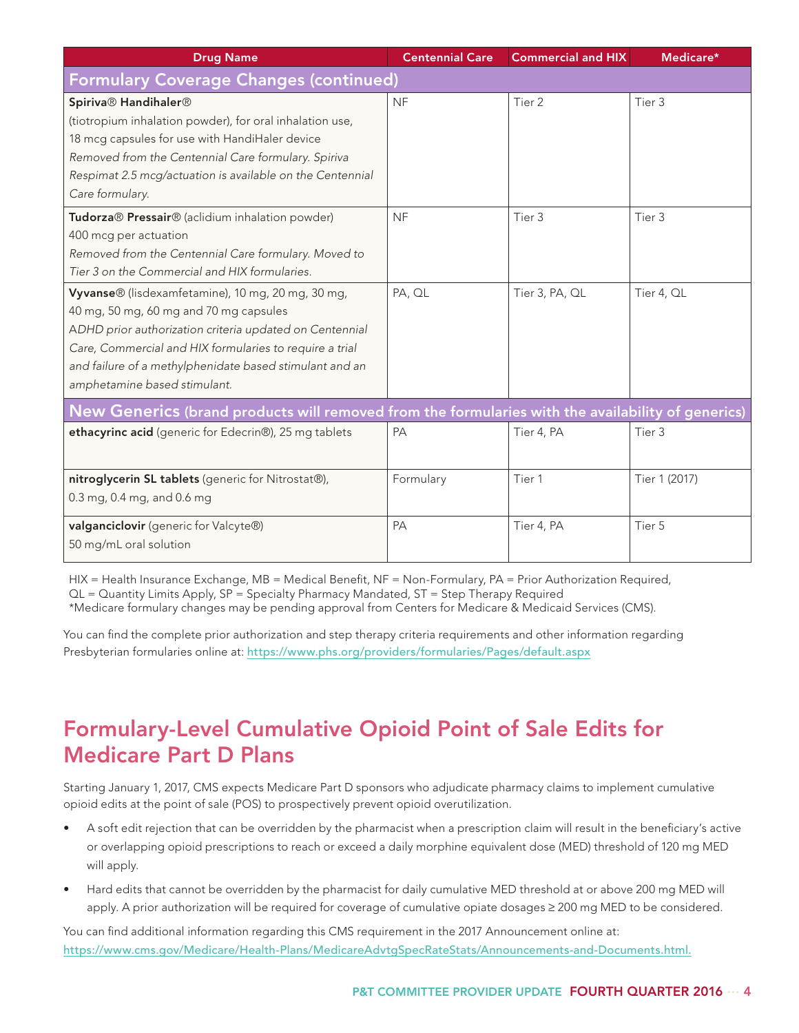| <b>Centennial Care</b>                                                                            | <b>Commercial and HIX</b> | Medicare*     |  |  |  |
|---------------------------------------------------------------------------------------------------|---------------------------|---------------|--|--|--|
| <b>Formulary Coverage Changes (continued)</b>                                                     |                           |               |  |  |  |
| <b>NF</b>                                                                                         | Tier <sub>2</sub>         | Tier 3        |  |  |  |
|                                                                                                   |                           |               |  |  |  |
|                                                                                                   |                           |               |  |  |  |
|                                                                                                   |                           |               |  |  |  |
|                                                                                                   |                           |               |  |  |  |
|                                                                                                   |                           |               |  |  |  |
| <b>NF</b>                                                                                         | Tier 3                    | Tier 3        |  |  |  |
|                                                                                                   |                           |               |  |  |  |
|                                                                                                   |                           |               |  |  |  |
|                                                                                                   |                           |               |  |  |  |
| PA, QL                                                                                            | Tier 3, PA, QL            | Tier 4, QL    |  |  |  |
|                                                                                                   |                           |               |  |  |  |
|                                                                                                   |                           |               |  |  |  |
|                                                                                                   |                           |               |  |  |  |
|                                                                                                   |                           |               |  |  |  |
|                                                                                                   |                           |               |  |  |  |
| New Generics (brand products will removed from the formularies with the availability of generics) |                           |               |  |  |  |
| PA                                                                                                | Tier 4, PA                | Tier 3        |  |  |  |
|                                                                                                   |                           |               |  |  |  |
| Formulary                                                                                         | Tier 1                    | Tier 1 (2017) |  |  |  |
|                                                                                                   |                           |               |  |  |  |
| PA                                                                                                | Tier 4, PA                | Tier 5        |  |  |  |
|                                                                                                   |                           |               |  |  |  |
|                                                                                                   |                           |               |  |  |  |

HIX = Health Insurance Exchange, MB = Medical Benefit, NF = Non-Formulary, PA = Prior Authorization Required, QL = Quantity Limits Apply, SP = Specialty Pharmacy Mandated, ST = Step Therapy Required

\*Medicare formulary changes may be pending approval from Centers for Medicare & Medicaid Services (CMS).

You can find the complete prior authorization and step therapy criteria requirements and other information regarding Presbyterian formularies online at: https://www.phs.org/providers/formularies/Pages/default.aspx

#### Formulary-Level Cumulative Opioid Point of Sale Edits for Medicare Part D Plans

Starting January 1, 2017, CMS expects Medicare Part D sponsors who adjudicate pharmacy claims to implement cumulative opioid edits at the point of sale (POS) to prospectively prevent opioid overutilization.

- A soft edit rejection that can be overridden by the pharmacist when a prescription claim will result in the beneficiary's active or overlapping opioid prescriptions to reach or exceed a daily morphine equivalent dose (MED) threshold of 120 mg MED will apply.
- Hard edits that cannot be overridden by the pharmacist for daily cumulative MED threshold at or above 200 mg MED will apply. A prior authorization will be required for coverage of cumulative opiate dosages ≥ 200 mg MED to be considered.

You can find additional information regarding this CMS requirement in the 2017 Announcement online at: https://www.cms.gov/Medicare/Health-Plans/MedicareAdvtgSpecRateStats/Announcements-and-Documents.html.